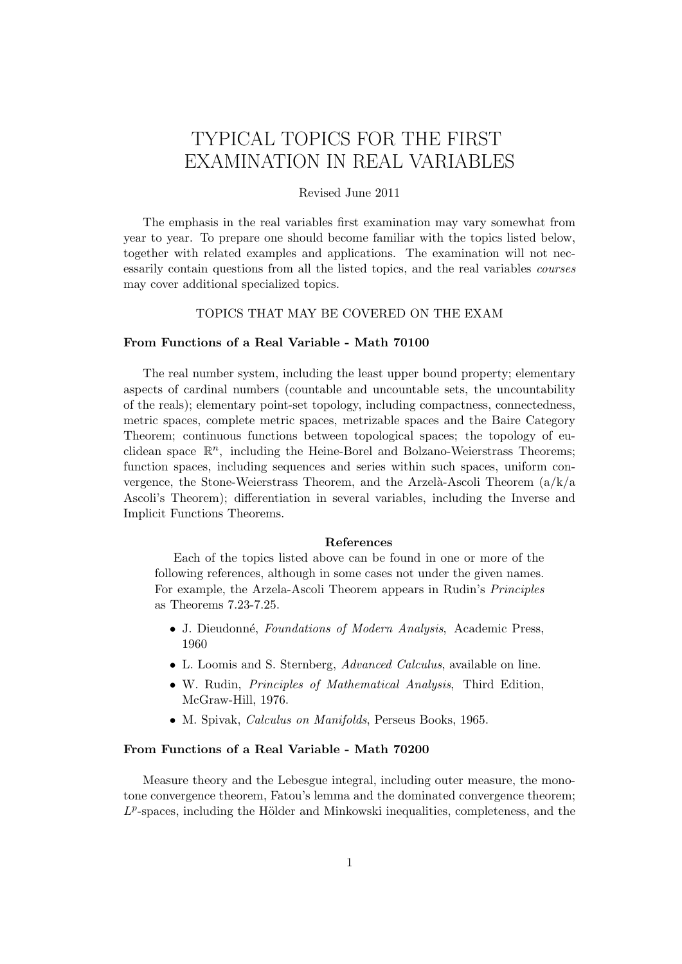# TYPICAL TOPICS FOR THE FIRST EXAMINATION IN REAL VARIABLES

# Revised June 2011

The emphasis in the real variables first examination may vary somewhat from year to year. To prepare one should become familiar with the topics listed below, together with related examples and applications. The examination will not necessarily contain questions from all the listed topics, and the real variables courses may cover additional specialized topics.

# TOPICS THAT MAY BE COVERED ON THE EXAM

### From Functions of a Real Variable - Math 70100

The real number system, including the least upper bound property; elementary aspects of cardinal numbers (countable and uncountable sets, the uncountability of the reals); elementary point-set topology, including compactness, connectedness, metric spaces, complete metric spaces, metrizable spaces and the Baire Category Theorem; continuous functions between topological spaces; the topology of euclidean space  $\mathbb{R}^n$ , including the Heine-Borel and Bolzano-Weierstrass Theorems; function spaces, including sequences and series within such spaces, uniform convergence, the Stone-Weierstrass Theorem, and the Arzelà-Ascoli Theorem  $(a/k/a)$ Ascoli's Theorem); differentiation in several variables, including the Inverse and Implicit Functions Theorems.

#### References

Each of the topics listed above can be found in one or more of the following references, although in some cases not under the given names. For example, the Arzela-Ascoli Theorem appears in Rudin's Principles as Theorems 7.23-7.25.

- J. Dieudonné, Foundations of Modern Analysis, Academic Press, 1960
- L. Loomis and S. Sternberg, *Advanced Calculus*, available on line.
- W. Rudin, Principles of Mathematical Analysis, Third Edition, McGraw-Hill, 1976.
- M. Spivak, Calculus on Manifolds, Perseus Books, 1965.

# From Functions of a Real Variable - Math 70200

Measure theory and the Lebesgue integral, including outer measure, the monotone convergence theorem, Fatou's lemma and the dominated convergence theorem;  $L^p$ -spaces, including the Hölder and Minkowski inequalities, completeness, and the